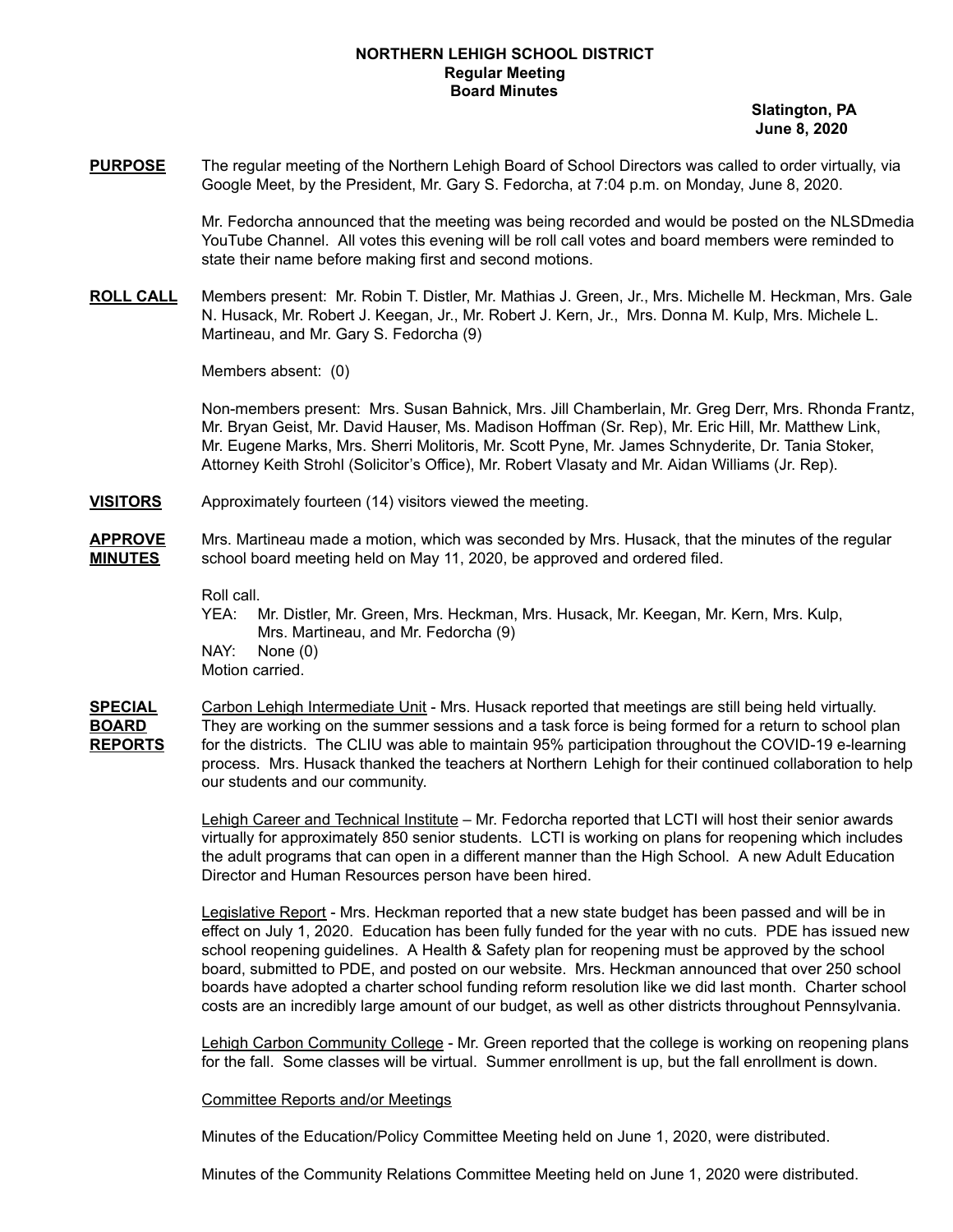## **NORTHERN LEHIGH SCHOOL DISTRICT Regular Meeting Board Minutes**

**Slatington, PA June 8, 2020**

**PURPOSE** The regular meeting of the Northern Lehigh Board of School Directors was called to order virtually, via Google Meet, by the President, Mr. Gary S. Fedorcha, at 7:04 p.m. on Monday, June 8, 2020.

> Mr. Fedorcha announced that the meeting was being recorded and would be posted on the NLSDmedia YouTube Channel. All votes this evening will be roll call votes and board members were reminded to state their name before making first and second motions.

**ROLL CALL** Members present: Mr. Robin T. Distler, Mr. Mathias J. Green, Jr., Mrs. Michelle M. Heckman, Mrs. Gale N. Husack, Mr. Robert J. Keegan, Jr., Mr. Robert J. Kern, Jr., Mrs. Donna M. Kulp, Mrs. Michele L. Martineau, and Mr. Gary S. Fedorcha (9)

Members absent: (0)

Non-members present: Mrs. Susan Bahnick, Mrs. Jill Chamberlain, Mr. Greg Derr, Mrs. Rhonda Frantz, Mr. Bryan Geist, Mr. David Hauser, Ms. Madison Hoffman (Sr. Rep), Mr. Eric Hill, Mr. Matthew Link, Mr. Eugene Marks, Mrs. Sherri Molitoris, Mr. Scott Pyne, Mr. James Schnyderite, Dr. Tania Stoker, Attorney Keith Strohl (Solicitor's Office), Mr. Robert Vlasaty and Mr. Aidan Williams (Jr. Rep).

- **VISITORS** Approximately fourteen (14) visitors viewed the meeting.
- **APPROVE** Mrs. Martineau made a motion, which was seconded by Mrs. Husack, that the minutes of the regular **MINUTES** school board meeting held on May 11, 2020, be approved and ordered filed.

Roll call.

- YEA: Mr. Distler, Mr. Green, Mrs. Heckman, Mrs. Husack, Mr. Keegan, Mr. Kern, Mrs. Kulp, Mrs. Martineau, and Mr. Fedorcha (9) NAY: None (0) Motion carried.
- **SPECIAL** Carbon Lehigh Intermediate Unit Mrs. Husack reported that meetings are still being held virtually. **BOARD** They are working on the summer sessions and a task force is being formed for a return to school plan **REPORTS** for the districts. The CLIU was able to maintain 95% participation throughout the COVID-19 e-learning process. Mrs. Husack thanked the teachers at Northern Lehigh for their continued collaboration to help our students and our community.

Lehigh Career and Technical Institute – Mr. Fedorcha reported that LCTI will host their senior awards virtually for approximately 850 senior students. LCTI is working on plans for reopening which includes the adult programs that can open in a different manner than the High School. A new Adult Education Director and Human Resources person have been hired.

Legislative Report - Mrs. Heckman reported that a new state budget has been passed and will be in effect on July 1, 2020. Education has been fully funded for the year with no cuts. PDE has issued new school reopening guidelines. A Health & Safety plan for reopening must be approved by the school board, submitted to PDE, and posted on our website. Mrs. Heckman announced that over 250 school boards have adopted a charter school funding reform resolution like we did last month. Charter school costs are an incredibly large amount of our budget, as well as other districts throughout Pennsylvania.

Lehigh Carbon Community College - Mr. Green reported that the college is working on reopening plans for the fall. Some classes will be virtual. Summer enrollment is up, but the fall enrollment is down.

## Committee Reports and/or Meetings

Minutes of the Education/Policy Committee Meeting held on June 1, 2020, were distributed.

Minutes of the Community Relations Committee Meeting held on June 1, 2020 were distributed.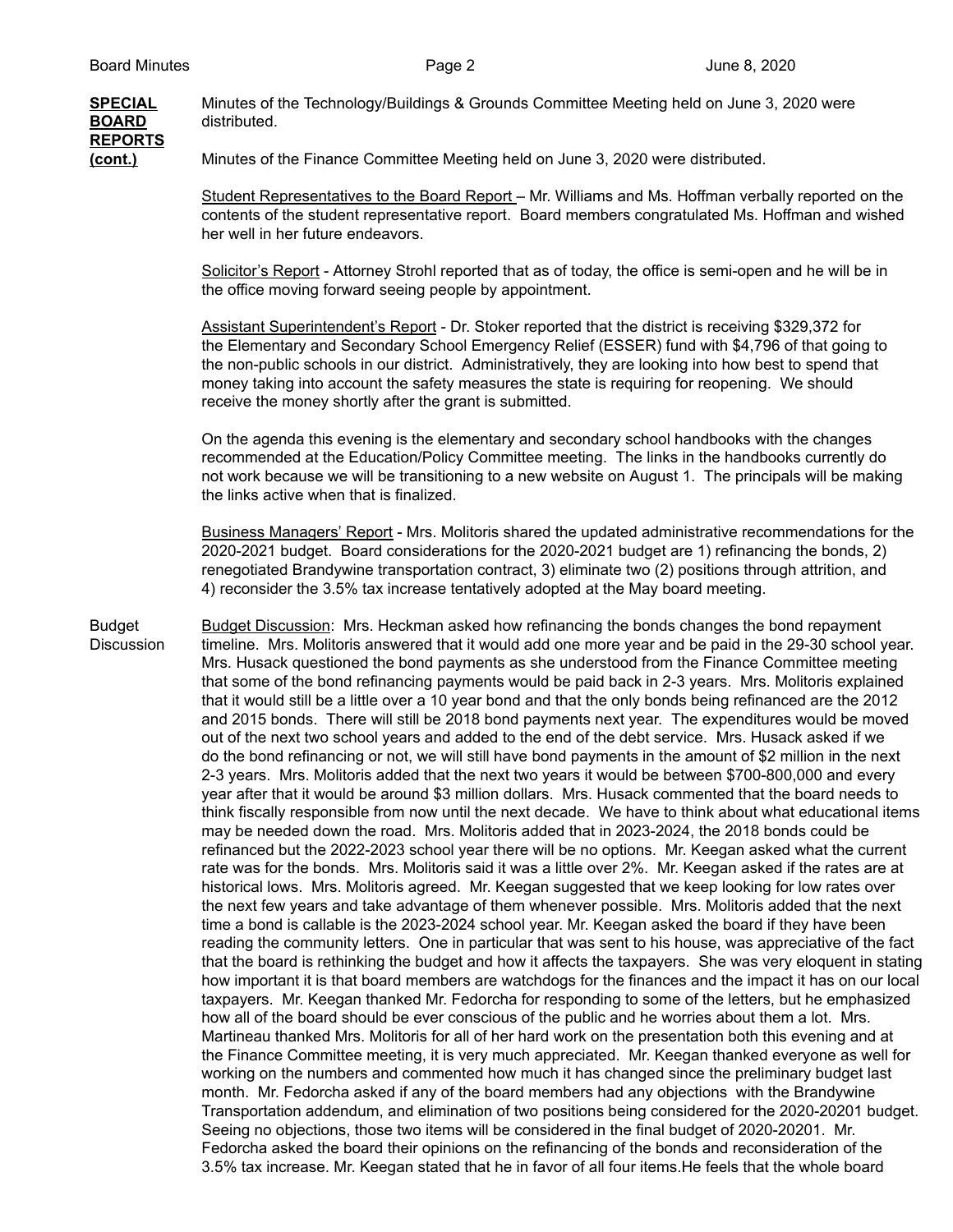## **SPECIAL** Minutes of the Technology/Buildings & Grounds Committee Meeting held on June 3, 2020 were **BOARD** distributed. **REPORTS (cont.)** Minutes of the Finance Committee Meeting held on June 3, 2020 were distributed.

Student Representatives to the Board Report – Mr. Williams and Ms. Hoffman verbally reported on the contents of the student representative report. Board members congratulated Ms. Hoffman and wished her well in her future endeavors.

Solicitor's Report - Attorney Strohl reported that as of today, the office is semi-open and he will be in the office moving forward seeing people by appointment.

Assistant Superintendent's Report - Dr. Stoker reported that the district is receiving \$329,372 for the Elementary and Secondary School Emergency Relief (ESSER) fund with \$4,796 of that going to the non-public schools in our district. Administratively, they are looking into how best to spend that money taking into account the safety measures the state is requiring for reopening. We should receive the money shortly after the grant is submitted.

On the agenda this evening is the elementary and secondary school handbooks with the changes recommended at the Education/Policy Committee meeting. The links in the handbooks currently do not work because we will be transitioning to a new website on August 1. The principals will be making the links active when that is finalized.

Business Managers' Report - Mrs. Molitoris shared the updated administrative recommendations for the 2020-2021 budget. Board considerations for the 2020-2021 budget are 1) refinancing the bonds, 2) renegotiated Brandywine transportation contract, 3) eliminate two (2) positions through attrition, and 4) reconsider the 3.5% tax increase tentatively adopted at the May board meeting.

Budget Budget Discussion: Mrs. Heckman asked how refinancing the bonds changes the bond repayment Discussion timeline. Mrs. Molitoris answered that it would add one more year and be paid in the 29-30 school year. Mrs. Husack questioned the bond payments as she understood from the Finance Committee meeting that some of the bond refinancing payments would be paid back in 2-3 years. Mrs. Molitoris explained that it would still be a little over a 10 year bond and that the only bonds being refinanced are the 2012 and 2015 bonds. There will still be 2018 bond payments next year. The expenditures would be moved out of the next two school years and added to the end of the debt service. Mrs. Husack asked if we do the bond refinancing or not, we will still have bond payments in the amount of \$2 million in the next 2-3 years. Mrs. Molitoris added that the next two years it would be between \$700-800,000 and every year after that it would be around \$3 million dollars. Mrs. Husack commented that the board needs to think fiscally responsible from now until the next decade. We have to think about what educational items may be needed down the road. Mrs. Molitoris added that in 2023-2024, the 2018 bonds could be refinanced but the 2022-2023 school year there will be no options. Mr. Keegan asked what the current rate was for the bonds. Mrs. Molitoris said it was a little over 2%. Mr. Keegan asked if the rates are at historical lows. Mrs. Molitoris agreed. Mr. Keegan suggested that we keep looking for low rates over the next few years and take advantage of them whenever possible. Mrs. Molitoris added that the next time a bond is callable is the 2023-2024 school year. Mr. Keegan asked the board if they have been reading the community letters. One in particular that was sent to his house, was appreciative of the fact that the board is rethinking the budget and how it affects the taxpayers. She was very eloquent in stating how important it is that board members are watchdogs for the finances and the impact it has on our local taxpayers. Mr. Keegan thanked Mr. Fedorcha for responding to some of the letters, but he emphasized how all of the board should be ever conscious of the public and he worries about them a lot. Mrs. Martineau thanked Mrs. Molitoris for all of her hard work on the presentation both this evening and at the Finance Committee meeting, it is very much appreciated. Mr. Keegan thanked everyone as well for working on the numbers and commented how much it has changed since the preliminary budget last month. Mr. Fedorcha asked if any of the board members had any objections with the Brandywine Transportation addendum, and elimination of two positions being considered for the 2020-20201 budget. Seeing no objections, those two items will be considered in the final budget of 2020-20201. Mr. Fedorcha asked the board their opinions on the refinancing of the bonds and reconsideration of the 3.5% tax increase. Mr. Keegan stated that he in favor of all four items.He feels that the whole board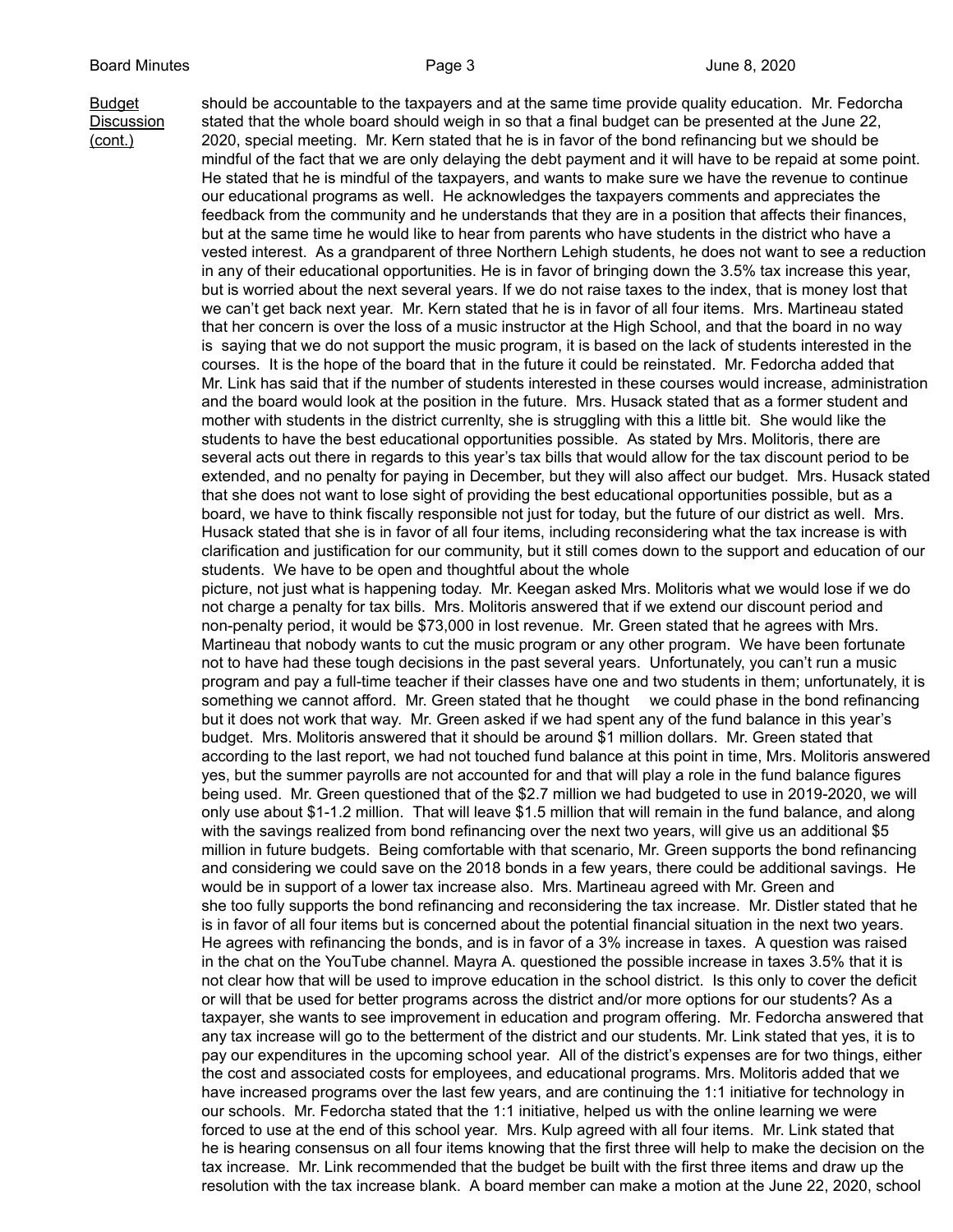Budget should be accountable to the taxpayers and at the same time provide quality education. Mr. Fedorcha Discussion stated that the whole board should weigh in so that a final budget can be presented at the June 22, (cont.) 2020, special meeting. Mr. Kern stated that he is in favor of the bond refinancing but we should be mindful of the fact that we are only delaying the debt payment and it will have to be repaid at some point. He stated that he is mindful of the taxpayers, and wants to make sure we have the revenue to continue our educational programs as well. He acknowledges the taxpayers comments and appreciates the feedback from the community and he understands that they are in a position that affects their finances, but at the same time he would like to hear from parents who have students in the district who have a vested interest. As a grandparent of three Northern Lehigh students, he does not want to see a reduction in any of their educational opportunities. He is in favor of bringing down the 3.5% tax increase this year, but is worried about the next several years. If we do not raise taxes to the index, that is money lost that we can't get back next year. Mr. Kern stated that he is in favor of all four items. Mrs. Martineau stated that her concern is over the loss of a music instructor at the High School, and that the board in no way is saying that we do not support the music program, it is based on the lack of students interested in the courses. It is the hope of the board that in the future it could be reinstated. Mr. Fedorcha added that Mr. Link has said that if the number of students interested in these courses would increase, administration and the board would look at the position in the future. Mrs. Husack stated that as a former student and mother with students in the district currenlty, she is struggling with this a little bit. She would like the students to have the best educational opportunities possible. As stated by Mrs. Molitoris, there are several acts out there in regards to this year's tax bills that would allow for the tax discount period to be extended, and no penalty for paying in December, but they will also affect our budget. Mrs. Husack stated that she does not want to lose sight of providing the best educational opportunities possible, but as a board, we have to think fiscally responsible not just for today, but the future of our district as well. Mrs. Husack stated that she is in favor of all four items, including reconsidering what the tax increase is with clarification and justification for our community, but it still comes down to the support and education of our students. We have to be open and thoughtful about the whole picture, not just what is happening today. Mr. Keegan asked Mrs. Molitoris what we would lose if we do not charge a penalty for tax bills. Mrs. Molitoris answered that if we extend our discount period and non-penalty period, it would be \$73,000 in lost revenue. Mr. Green stated that he agrees with Mrs. Martineau that nobody wants to cut the music program or any other program. We have been fortunate not to have had these tough decisions in the past several years. Unfortunately, you can't run a music program and pay a full-time teacher if their classes have one and two students in them; unfortunately, it is something we cannot afford. Mr. Green stated that he thought we could phase in the bond refinancing but it does not work that way. Mr. Green asked if we had spent any of the fund balance in this year's budget. Mrs. Molitoris answered that it should be around \$1 million dollars. Mr. Green stated that according to the last report, we had not touched fund balance at this point in time, Mrs. Molitoris answered yes, but the summer payrolls are not accounted for and that will play a role in the fund balance figures being used. Mr. Green questioned that of the \$2.7 million we had budgeted to use in 2019-2020, we will only use about \$1-1.2 million. That will leave \$1.5 million that will remain in the fund balance, and along with the savings realized from bond refinancing over the next two years, will give us an additional \$5 million in future budgets. Being comfortable with that scenario, Mr. Green supports the bond refinancing and considering we could save on the 2018 bonds in a few years, there could be additional savings. He would be in support of a lower tax increase also. Mrs. Martineau agreed with Mr. Green and she too fully supports the bond refinancing and reconsidering the tax increase. Mr. Distler stated that he is in favor of all four items but is concerned about the potential financial situation in the next two years. He agrees with refinancing the bonds, and is in favor of a 3% increase in taxes. A question was raised in the chat on the YouTube channel. Mayra A. questioned the possible increase in taxes 3.5% that it is not clear how that will be used to improve education in the school district. Is this only to cover the deficit or will that be used for better programs across the district and/or more options for our students? As a taxpayer, she wants to see improvement in education and program offering. Mr. Fedorcha answered that any tax increase will go to the betterment of the district and our students. Mr. Link stated that yes, it is to pay our expenditures in the upcoming school year. All of the district's expenses are for two things, either the cost and associated costs for employees, and educational programs. Mrs. Molitoris added that we

> have increased programs over the last few years, and are continuing the 1:1 initiative for technology in our schools. Mr. Fedorcha stated that the 1:1 initiative, helped us with the online learning we were forced to use at the end of this school year. Mrs. Kulp agreed with all four items. Mr. Link stated that he is hearing consensus on all four items knowing that the first three will help to make the decision on the tax increase. Mr. Link recommended that the budget be built with the first three items and draw up the resolution with the tax increase blank. A board member can make a motion at the June 22, 2020, school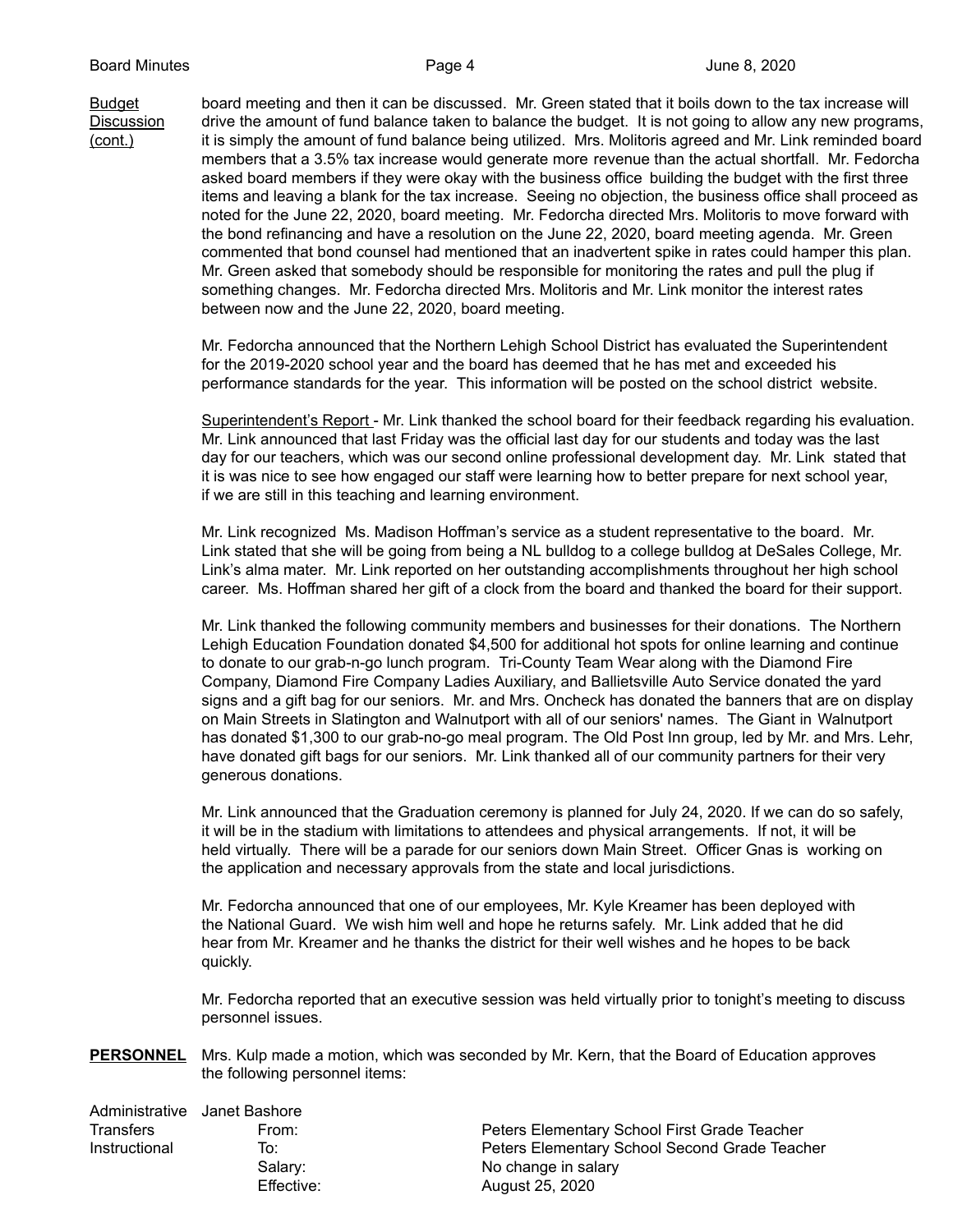Budget board meeting and then it can be discussed. Mr. Green stated that it boils down to the tax increase will Discussion drive the amount of fund balance taken to balance the budget. It is not going to allow any new programs, (cont.) it is simply the amount of fund balance being utilized. Mrs. Molitoris agreed and Mr. Link reminded board members that a 3.5% tax increase would generate more revenue than the actual shortfall. Mr. Fedorcha asked board members if they were okay with the business office building the budget with the first three items and leaving a blank for the tax increase. Seeing no objection, the business office shall proceed as noted for the June 22, 2020, board meeting. Mr. Fedorcha directed Mrs. Molitoris to move forward with the bond refinancing and have a resolution on the June 22, 2020, board meeting agenda. Mr. Green commented that bond counsel had mentioned that an inadvertent spike in rates could hamper this plan. Mr. Green asked that somebody should be responsible for monitoring the rates and pull the plug if something changes. Mr. Fedorcha directed Mrs. Molitoris and Mr. Link monitor the interest rates between now and the June 22, 2020, board meeting.

> Mr. Fedorcha announced that the Northern Lehigh School District has evaluated the Superintendent for the 2019-2020 school year and the board has deemed that he has met and exceeded his performance standards for the year. This information will be posted on the school district website.

Superintendent's Report - Mr. Link thanked the school board for their feedback regarding his evaluation. Mr. Link announced that last Friday was the official last day for our students and today was the last day for our teachers, which was our second online professional development day. Mr. Link stated that it is was nice to see how engaged our staff were learning how to better prepare for next school year, if we are still in this teaching and learning environment.

Mr. Link recognized Ms. Madison Hoffman's service as a student representative to the board. Mr. Link stated that she will be going from being a NL bulldog to a college bulldog at DeSales College, Mr. Link's alma mater. Mr. Link reported on her outstanding accomplishments throughout her high school career. Ms. Hoffman shared her gift of a clock from the board and thanked the board for their support.

Mr. Link thanked the following community members and businesses for their donations. The Northern Lehigh Education Foundation donated \$4,500 for additional hot spots for online learning and continue to donate to our grab-n-go lunch program. Tri-County Team Wear along with the Diamond Fire Company, Diamond Fire Company Ladies Auxiliary, and Ballietsville Auto Service donated the yard signs and a gift bag for our seniors. Mr. and Mrs. Oncheck has donated the banners that are on display on Main Streets in Slatington and Walnutport with all of our seniors' names. The Giant in Walnutport has donated \$1,300 to our grab-no-go meal program. The Old Post Inn group, led by Mr. and Mrs. Lehr, have donated gift bags for our seniors. Mr. Link thanked all of our community partners for their very generous donations.

Mr. Link announced that the Graduation ceremony is planned for July 24, 2020. If we can do so safely, it will be in the stadium with limitations to attendees and physical arrangements. If not, it will be held virtually. There will be a parade for our seniors down Main Street. Officer Gnas is working on the application and necessary approvals from the state and local jurisdictions.

Mr. Fedorcha announced that one of our employees, Mr. Kyle Kreamer has been deployed with the National Guard. We wish him well and hope he returns safely. Mr. Link added that he did hear from Mr. Kreamer and he thanks the district for their well wishes and he hopes to be back quickly.

Mr. Fedorcha reported that an executive session was held virtually prior to tonight's meeting to discuss personnel issues.

**PERSONNEL** Mrs. Kulp made a motion, which was seconded by Mr. Kern, that the Board of Education approves the following personnel items:

|                  | Administrative Janet Bashore |                                               |
|------------------|------------------------------|-----------------------------------------------|
| <b>Transfers</b> | From:                        | Peters Elementary School First Grade Teacher  |
| Instructional    | To:                          | Peters Elementary School Second Grade Teacher |
|                  | Salary:                      | No change in salary                           |
|                  | Effective:                   | August 25, 2020                               |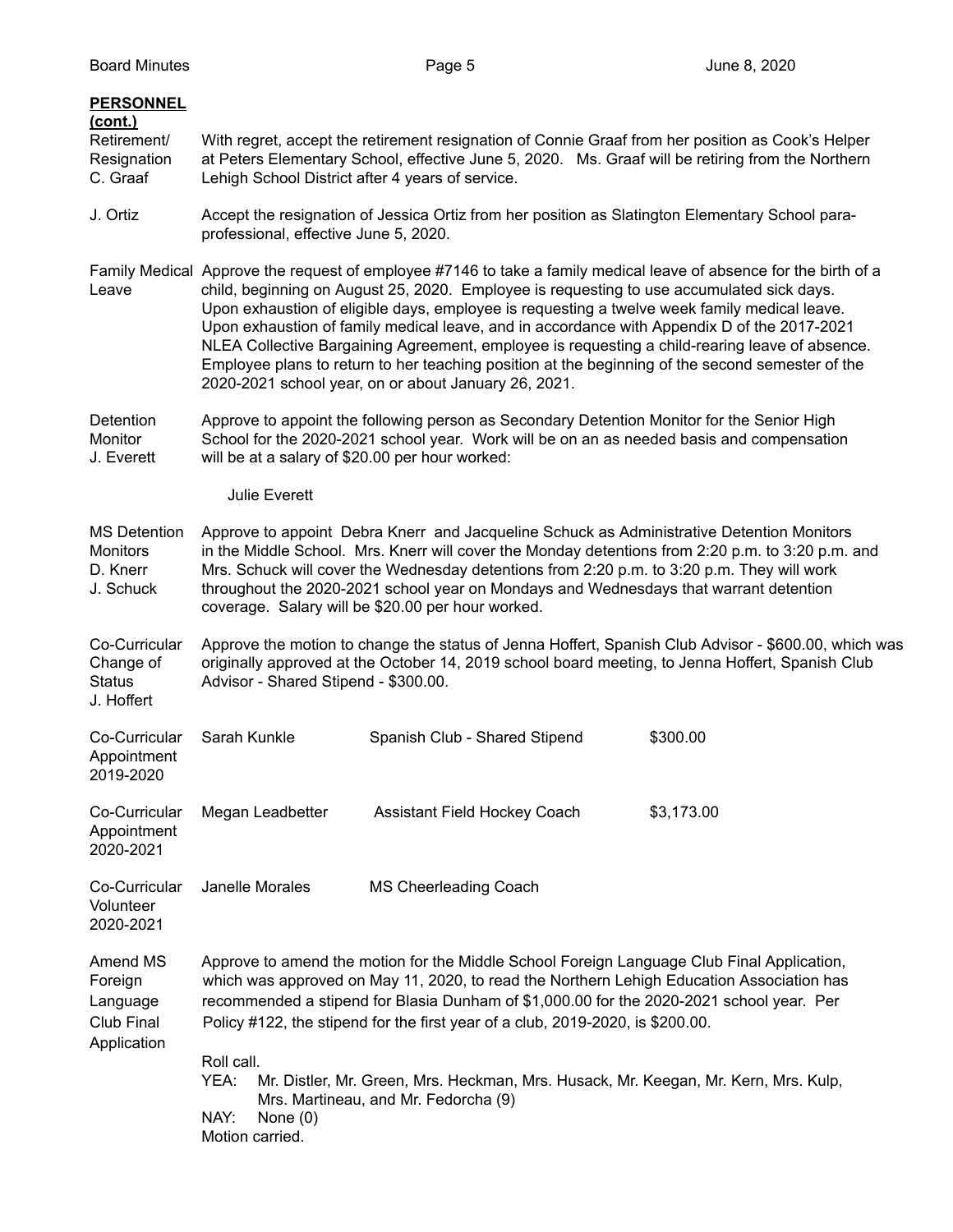| <b>PERSONNEL</b><br>(cont.)<br>Retirement/<br>Resignation<br>C. Graaf | Lehigh School District after 4 years of service.                                                                                                                                                                                                                                                                                                                                                                                                                                                                                                                                                                                                                            | With regret, accept the retirement resignation of Connie Graaf from her position as Cook's Helper<br>at Peters Elementary School, effective June 5, 2020. Ms. Graaf will be retiring from the Northern                                                                                                                                                                                                                                                                                               |            |  |
|-----------------------------------------------------------------------|-----------------------------------------------------------------------------------------------------------------------------------------------------------------------------------------------------------------------------------------------------------------------------------------------------------------------------------------------------------------------------------------------------------------------------------------------------------------------------------------------------------------------------------------------------------------------------------------------------------------------------------------------------------------------------|------------------------------------------------------------------------------------------------------------------------------------------------------------------------------------------------------------------------------------------------------------------------------------------------------------------------------------------------------------------------------------------------------------------------------------------------------------------------------------------------------|------------|--|
| J. Ortiz                                                              | Accept the resignation of Jessica Ortiz from her position as Slatington Elementary School para-<br>professional, effective June 5, 2020.                                                                                                                                                                                                                                                                                                                                                                                                                                                                                                                                    |                                                                                                                                                                                                                                                                                                                                                                                                                                                                                                      |            |  |
| Leave                                                                 | Family Medical Approve the request of employee #7146 to take a family medical leave of absence for the birth of a<br>child, beginning on August 25, 2020. Employee is requesting to use accumulated sick days.<br>Upon exhaustion of eligible days, employee is requesting a twelve week family medical leave.<br>Upon exhaustion of family medical leave, and in accordance with Appendix D of the 2017-2021<br>NLEA Collective Bargaining Agreement, employee is requesting a child-rearing leave of absence.<br>Employee plans to return to her teaching position at the beginning of the second semester of the<br>2020-2021 school year, on or about January 26, 2021. |                                                                                                                                                                                                                                                                                                                                                                                                                                                                                                      |            |  |
| Detention<br>Monitor<br>J. Everett                                    | Approve to appoint the following person as Secondary Detention Monitor for the Senior High<br>School for the 2020-2021 school year. Work will be on an as needed basis and compensation<br>will be at a salary of \$20.00 per hour worked:                                                                                                                                                                                                                                                                                                                                                                                                                                  |                                                                                                                                                                                                                                                                                                                                                                                                                                                                                                      |            |  |
|                                                                       | <b>Julie Everett</b>                                                                                                                                                                                                                                                                                                                                                                                                                                                                                                                                                                                                                                                        |                                                                                                                                                                                                                                                                                                                                                                                                                                                                                                      |            |  |
| <b>MS Detention</b><br><b>Monitors</b><br>D. Knerr<br>J. Schuck       | Approve to appoint Debra Knerr and Jacqueline Schuck as Administrative Detention Monitors<br>in the Middle School. Mrs. Knerr will cover the Monday detentions from 2:20 p.m. to 3:20 p.m. and<br>Mrs. Schuck will cover the Wednesday detentions from 2:20 p.m. to 3:20 p.m. They will work<br>throughout the 2020-2021 school year on Mondays and Wednesdays that warrant detention<br>coverage. Salary will be \$20.00 per hour worked.                                                                                                                                                                                                                                  |                                                                                                                                                                                                                                                                                                                                                                                                                                                                                                      |            |  |
| Co-Curricular<br>Change of<br><b>Status</b><br>J. Hoffert             | Approve the motion to change the status of Jenna Hoffert, Spanish Club Advisor - \$600.00, which was<br>originally approved at the October 14, 2019 school board meeting, to Jenna Hoffert, Spanish Club<br>Advisor - Shared Stipend - \$300.00.                                                                                                                                                                                                                                                                                                                                                                                                                            |                                                                                                                                                                                                                                                                                                                                                                                                                                                                                                      |            |  |
| Co-Curricular<br>Appointment<br>2019-2020                             | Sarah Kunkle                                                                                                                                                                                                                                                                                                                                                                                                                                                                                                                                                                                                                                                                | Spanish Club - Shared Stipend                                                                                                                                                                                                                                                                                                                                                                                                                                                                        | \$300.00   |  |
| Co-Curricular<br>Appointment<br>2020-2021                             | Megan Leadbetter                                                                                                                                                                                                                                                                                                                                                                                                                                                                                                                                                                                                                                                            | Assistant Field Hockey Coach                                                                                                                                                                                                                                                                                                                                                                                                                                                                         | \$3,173.00 |  |
| Co-Curricular<br>Volunteer<br>2020-2021                               | Janelle Morales                                                                                                                                                                                                                                                                                                                                                                                                                                                                                                                                                                                                                                                             | <b>MS Cheerleading Coach</b>                                                                                                                                                                                                                                                                                                                                                                                                                                                                         |            |  |
| Amend MS<br>Foreign<br>Language<br>Club Final<br>Application          | Roll call.<br>YEA:                                                                                                                                                                                                                                                                                                                                                                                                                                                                                                                                                                                                                                                          | Approve to amend the motion for the Middle School Foreign Language Club Final Application,<br>which was approved on May 11, 2020, to read the Northern Lehigh Education Association has<br>recommended a stipend for Blasia Dunham of \$1,000.00 for the 2020-2021 school year. Per<br>Policy #122, the stipend for the first year of a club, 2019-2020, is \$200.00.<br>Mr. Distler, Mr. Green, Mrs. Heckman, Mrs. Husack, Mr. Keegan, Mr. Kern, Mrs. Kulp,<br>Mrs. Martineau, and Mr. Fedorcha (9) |            |  |
|                                                                       | NAY:<br>None $(0)$<br>Motion carried.                                                                                                                                                                                                                                                                                                                                                                                                                                                                                                                                                                                                                                       |                                                                                                                                                                                                                                                                                                                                                                                                                                                                                                      |            |  |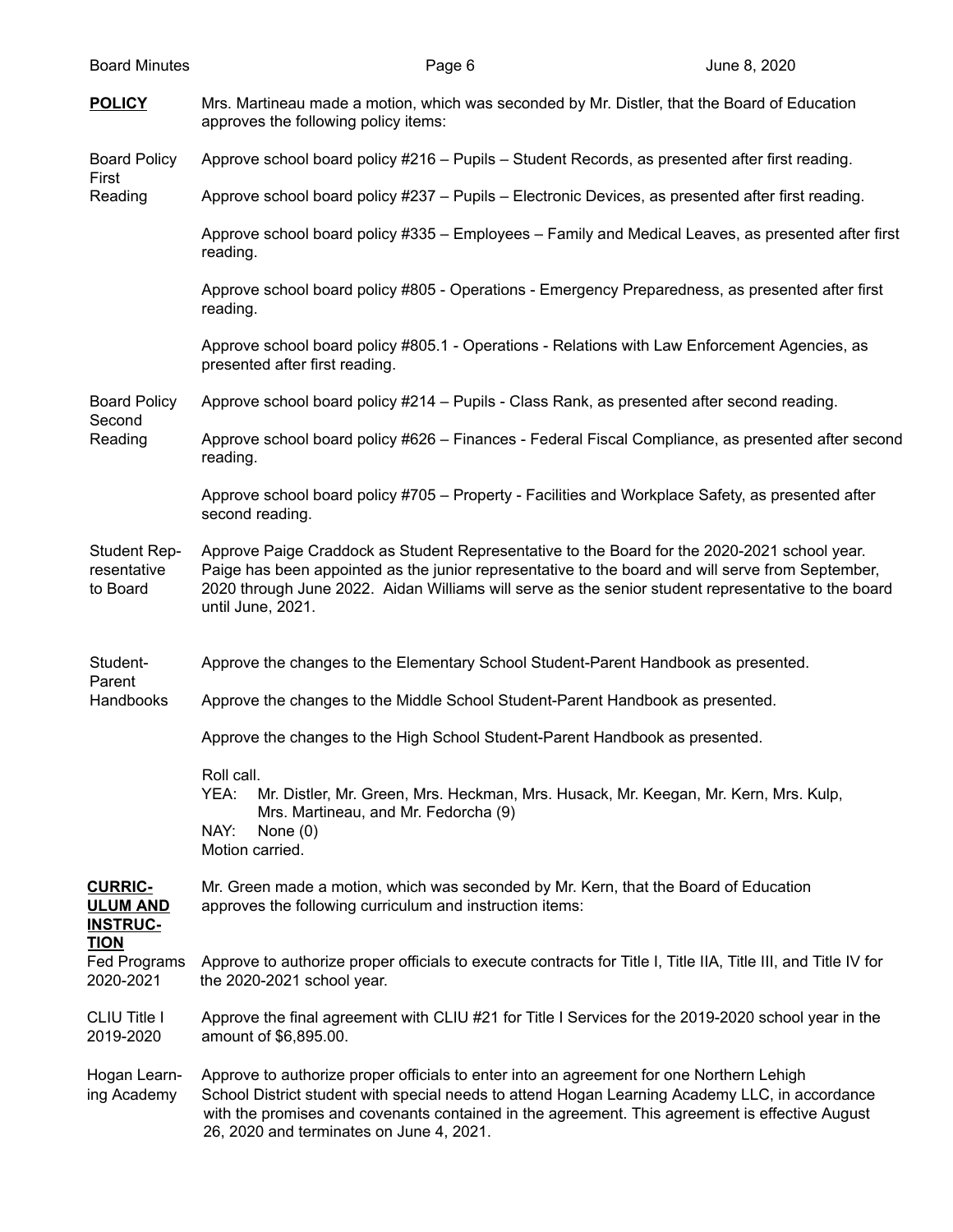| <b>Board Minutes</b>                                 | Page 6                                                                                                                                                                                                                                                                                                                                   | June 8, 2020 |
|------------------------------------------------------|------------------------------------------------------------------------------------------------------------------------------------------------------------------------------------------------------------------------------------------------------------------------------------------------------------------------------------------|--------------|
| <b>POLICY</b>                                        | Mrs. Martineau made a motion, which was seconded by Mr. Distler, that the Board of Education<br>approves the following policy items:                                                                                                                                                                                                     |              |
| <b>Board Policy</b>                                  | Approve school board policy #216 - Pupils - Student Records, as presented after first reading.                                                                                                                                                                                                                                           |              |
| First<br>Reading                                     | Approve school board policy #237 - Pupils - Electronic Devices, as presented after first reading.                                                                                                                                                                                                                                        |              |
|                                                      | Approve school board policy #335 – Employees – Family and Medical Leaves, as presented after first<br>reading.                                                                                                                                                                                                                           |              |
|                                                      | Approve school board policy #805 - Operations - Emergency Preparedness, as presented after first<br>reading.                                                                                                                                                                                                                             |              |
|                                                      | Approve school board policy #805.1 - Operations - Relations with Law Enforcement Agencies, as<br>presented after first reading.                                                                                                                                                                                                          |              |
| <b>Board Policy</b><br>Second<br>Reading             | Approve school board policy #214 - Pupils - Class Rank, as presented after second reading.                                                                                                                                                                                                                                               |              |
|                                                      | Approve school board policy #626 - Finances - Federal Fiscal Compliance, as presented after second<br>reading.                                                                                                                                                                                                                           |              |
|                                                      | Approve school board policy #705 – Property - Facilities and Workplace Safety, as presented after<br>second reading.                                                                                                                                                                                                                     |              |
| <b>Student Rep-</b><br>resentative<br>to Board       | Approve Paige Craddock as Student Representative to the Board for the 2020-2021 school year.<br>Paige has been appointed as the junior representative to the board and will serve from September,<br>2020 through June 2022. Aidan Williams will serve as the senior student representative to the board<br>until June, 2021.            |              |
| Student-<br>Parent                                   | Approve the changes to the Elementary School Student-Parent Handbook as presented.                                                                                                                                                                                                                                                       |              |
| Handbooks                                            | Approve the changes to the Middle School Student-Parent Handbook as presented.                                                                                                                                                                                                                                                           |              |
|                                                      | Approve the changes to the High School Student-Parent Handbook as presented.                                                                                                                                                                                                                                                             |              |
|                                                      | Roll call.<br>YEA:<br>Mr. Distler, Mr. Green, Mrs. Heckman, Mrs. Husack, Mr. Keegan, Mr. Kern, Mrs. Kulp,<br>Mrs. Martineau, and Mr. Fedorcha (9)<br>NAY:<br>None $(0)$<br>Motion carried.                                                                                                                                               |              |
| <b>CURRIC-</b><br><b>ULUM AND</b><br><b>INSTRUC-</b> | Mr. Green made a motion, which was seconded by Mr. Kern, that the Board of Education<br>approves the following curriculum and instruction items:                                                                                                                                                                                         |              |
| <u>TION</u><br>Fed Programs<br>2020-2021             | Approve to authorize proper officials to execute contracts for Title I, Title IIA, Title III, and Title IV for<br>the 2020-2021 school year.                                                                                                                                                                                             |              |
| CLIU Title I<br>2019-2020                            | Approve the final agreement with CLIU #21 for Title I Services for the 2019-2020 school year in the<br>amount of \$6,895.00.                                                                                                                                                                                                             |              |
| Hogan Learn-<br>ing Academy                          | Approve to authorize proper officials to enter into an agreement for one Northern Lehigh<br>School District student with special needs to attend Hogan Learning Academy LLC, in accordance<br>with the promises and covenants contained in the agreement. This agreement is effective August<br>26, 2020 and terminates on June 4, 2021. |              |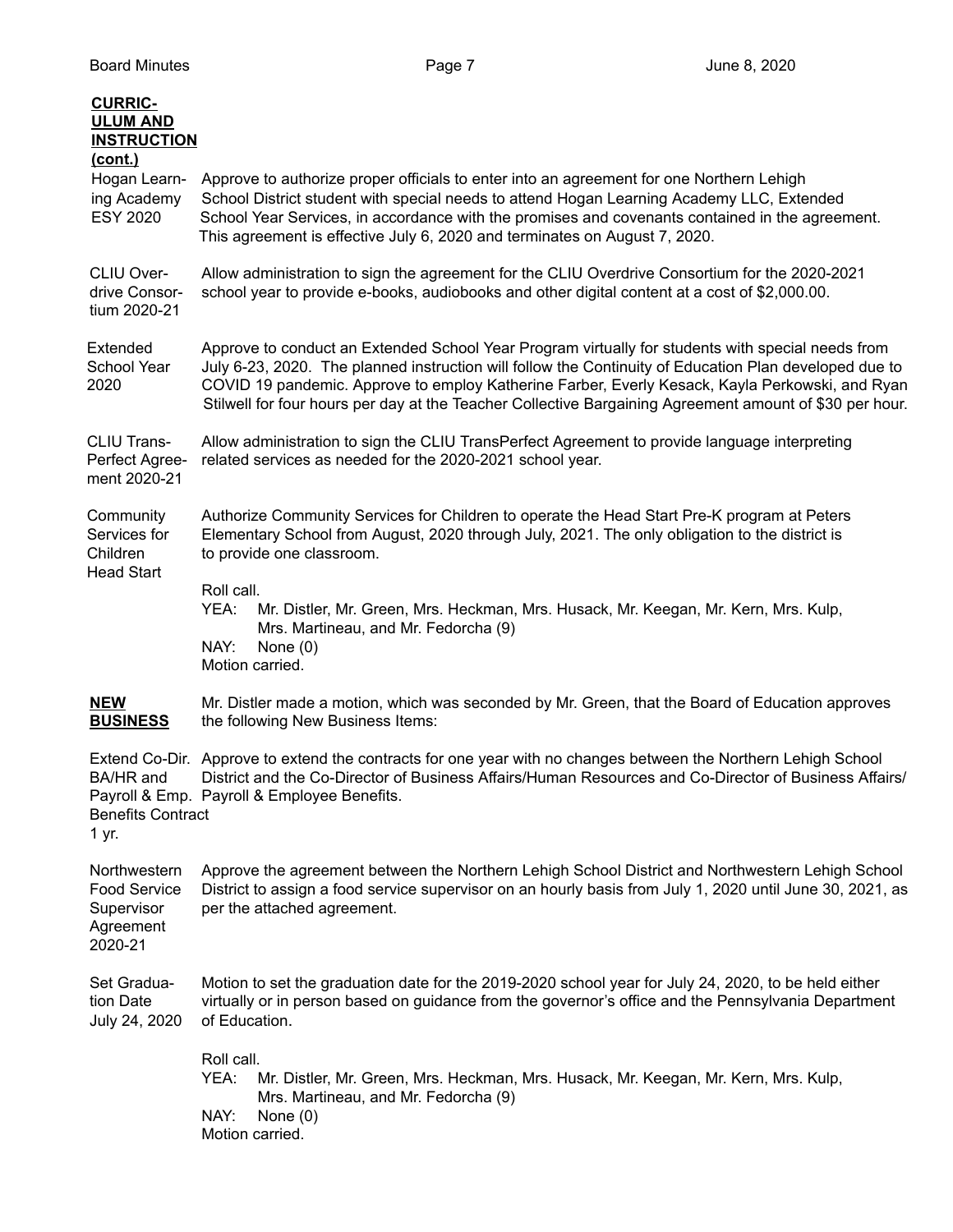| <b>CURRIC-</b><br><b>ULUM AND</b><br><b>INSTRUCTION</b>                   |                                                                                                                                                                                                                                                                                                                                                                                                                           |
|---------------------------------------------------------------------------|---------------------------------------------------------------------------------------------------------------------------------------------------------------------------------------------------------------------------------------------------------------------------------------------------------------------------------------------------------------------------------------------------------------------------|
| <u>(cont.)</u><br>Hogan Learn-<br>ing Academy<br><b>ESY 2020</b>          | Approve to authorize proper officials to enter into an agreement for one Northern Lehigh<br>School District student with special needs to attend Hogan Learning Academy LLC, Extended<br>School Year Services, in accordance with the promises and covenants contained in the agreement.<br>This agreement is effective July 6, 2020 and terminates on August 7, 2020.                                                    |
| CLIU Over-<br>drive Consor-<br>tium 2020-21                               | Allow administration to sign the agreement for the CLIU Overdrive Consortium for the 2020-2021<br>school year to provide e-books, audiobooks and other digital content at a cost of \$2,000.00.                                                                                                                                                                                                                           |
| Extended<br>School Year<br>2020                                           | Approve to conduct an Extended School Year Program virtually for students with special needs from<br>July 6-23, 2020. The planned instruction will follow the Continuity of Education Plan developed due to<br>COVID 19 pandemic. Approve to employ Katherine Farber, Everly Kesack, Kayla Perkowski, and Ryan<br>Stilwell for four hours per day at the Teacher Collective Bargaining Agreement amount of \$30 per hour. |
| CLIU Trans-<br>Perfect Agree-<br>ment 2020-21                             | Allow administration to sign the CLIU TransPerfect Agreement to provide language interpreting<br>related services as needed for the 2020-2021 school year.                                                                                                                                                                                                                                                                |
| Community<br>Services for<br>Children<br><b>Head Start</b>                | Authorize Community Services for Children to operate the Head Start Pre-K program at Peters<br>Elementary School from August, 2020 through July, 2021. The only obligation to the district is<br>to provide one classroom.                                                                                                                                                                                                |
|                                                                           | Roll call.<br>YEA:<br>Mr. Distler, Mr. Green, Mrs. Heckman, Mrs. Husack, Mr. Keegan, Mr. Kern, Mrs. Kulp,<br>Mrs. Martineau, and Mr. Fedorcha (9)<br>NAY:<br>None $(0)$<br>Motion carried.                                                                                                                                                                                                                                |
| <b>NEW</b><br><b>BUSINESS</b>                                             | Mr. Distler made a motion, which was seconded by Mr. Green, that the Board of Education approves<br>the following New Business Items:                                                                                                                                                                                                                                                                                     |
| BA/HR and<br><b>Benefits Contract</b><br>1 yr.                            | Extend Co-Dir. Approve to extend the contracts for one year with no changes between the Northern Lehigh School<br>District and the Co-Director of Business Affairs/Human Resources and Co-Director of Business Affairs/<br>Payroll & Emp. Payroll & Employee Benefits.                                                                                                                                                    |
| Northwestern<br><b>Food Service</b><br>Supervisor<br>Agreement<br>2020-21 | Approve the agreement between the Northern Lehigh School District and Northwestern Lehigh School<br>District to assign a food service supervisor on an hourly basis from July 1, 2020 until June 30, 2021, as<br>per the attached agreement.                                                                                                                                                                              |
| Set Gradua-<br>tion Date<br>July 24, 2020                                 | Motion to set the graduation date for the 2019-2020 school year for July 24, 2020, to be held either<br>virtually or in person based on guidance from the governor's office and the Pennsylvania Department<br>of Education.                                                                                                                                                                                              |
|                                                                           | Roll call.<br>YEA:<br>Mr. Distler, Mr. Green, Mrs. Heckman, Mrs. Husack, Mr. Keegan, Mr. Kern, Mrs. Kulp,<br>Mrs. Martineau, and Mr. Fedorcha (9)<br>NAY:<br>None $(0)$<br>Motion carried.                                                                                                                                                                                                                                |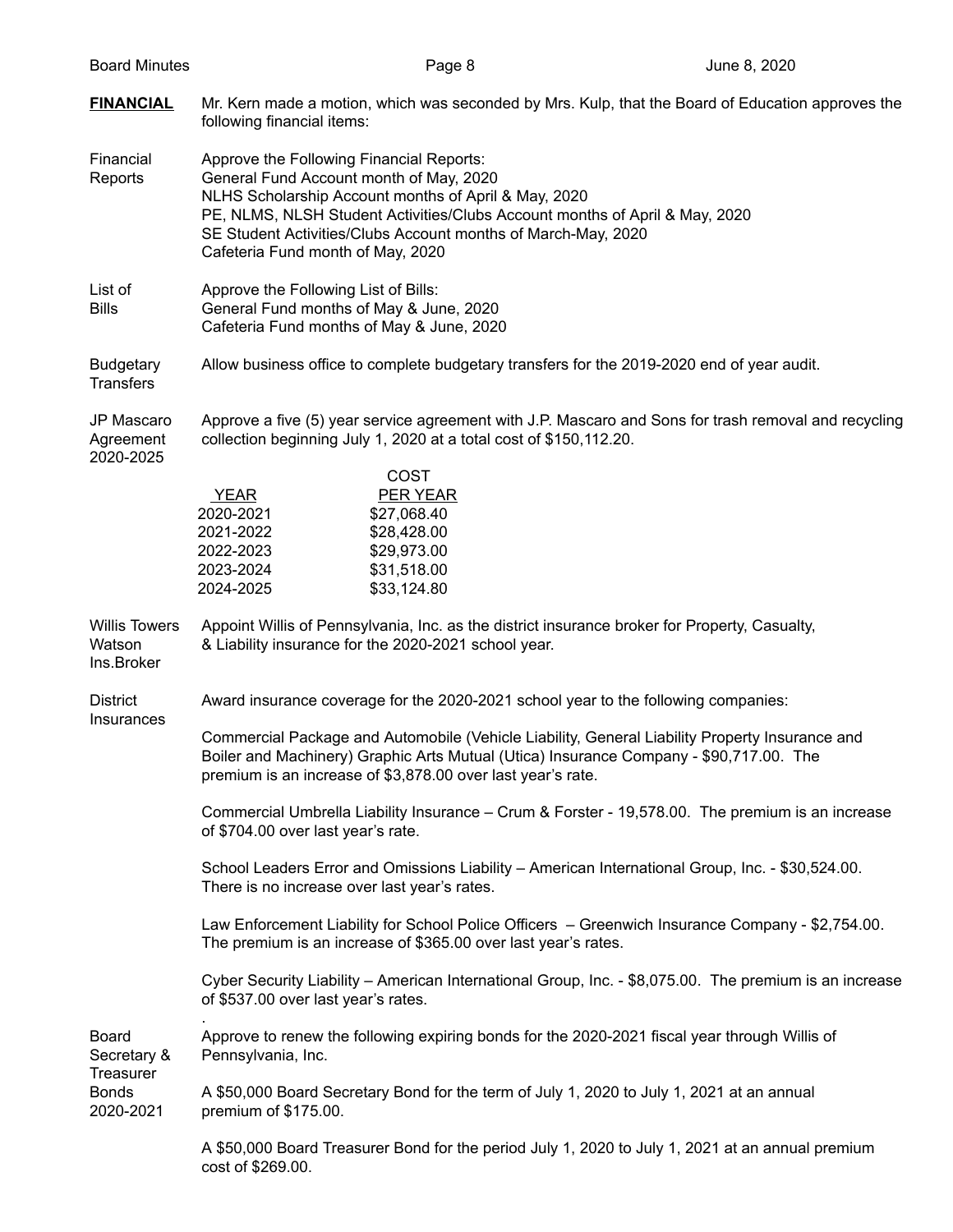| <b>Board Minutes</b>                            |                                                                                                                                                                                                                                                                                                                                  | Page 8                                                                                                    | June 8, 2020                                                                                         |  |
|-------------------------------------------------|----------------------------------------------------------------------------------------------------------------------------------------------------------------------------------------------------------------------------------------------------------------------------------------------------------------------------------|-----------------------------------------------------------------------------------------------------------|------------------------------------------------------------------------------------------------------|--|
| <b>FINANCIAL</b>                                | following financial items:                                                                                                                                                                                                                                                                                                       |                                                                                                           | Mr. Kern made a motion, which was seconded by Mrs. Kulp, that the Board of Education approves the    |  |
| Financial<br>Reports                            | Approve the Following Financial Reports:<br>General Fund Account month of May, 2020<br>NLHS Scholarship Account months of April & May, 2020<br>PE, NLMS, NLSH Student Activities/Clubs Account months of April & May, 2020<br>SE Student Activities/Clubs Account months of March-May, 2020<br>Cafeteria Fund month of May, 2020 |                                                                                                           |                                                                                                      |  |
| List of<br><b>Bills</b>                         | Approve the Following List of Bills:<br>General Fund months of May & June, 2020<br>Cafeteria Fund months of May & June, 2020                                                                                                                                                                                                     |                                                                                                           |                                                                                                      |  |
| <b>Budgetary</b><br><b>Transfers</b>            | Allow business office to complete budgetary transfers for the 2019-2020 end of year audit.                                                                                                                                                                                                                                       |                                                                                                           |                                                                                                      |  |
| JP Mascaro<br>Agreement<br>2020-2025            |                                                                                                                                                                                                                                                                                                                                  | collection beginning July 1, 2020 at a total cost of \$150,112.20.                                        | Approve a five (5) year service agreement with J.P. Mascaro and Sons for trash removal and recycling |  |
|                                                 | YEAR<br>2020-2021<br>2021-2022<br>2022-2023<br>2023-2024<br>2024-2025                                                                                                                                                                                                                                                            | <b>COST</b><br><b>PER YEAR</b><br>\$27,068.40<br>\$28,428.00<br>\$29,973.00<br>\$31,518.00<br>\$33,124.80 |                                                                                                      |  |
| <b>Willis Towers</b><br>Watson<br>Ins.Broker    |                                                                                                                                                                                                                                                                                                                                  | & Liability insurance for the 2020-2021 school year.                                                      | Appoint Willis of Pennsylvania, Inc. as the district insurance broker for Property, Casualty,        |  |
| <b>District</b>                                 |                                                                                                                                                                                                                                                                                                                                  |                                                                                                           | Award insurance coverage for the 2020-2021 school year to the following companies:                   |  |
| Insurances                                      | Commercial Package and Automobile (Vehicle Liability, General Liability Property Insurance and<br>Boiler and Machinery) Graphic Arts Mutual (Utica) Insurance Company - \$90,717.00. The<br>premium is an increase of \$3,878.00 over last year's rate.                                                                          |                                                                                                           |                                                                                                      |  |
|                                                 | of \$704.00 over last year's rate.                                                                                                                                                                                                                                                                                               |                                                                                                           | Commercial Umbrella Liability Insurance – Crum & Forster - 19,578.00. The premium is an increase     |  |
|                                                 |                                                                                                                                                                                                                                                                                                                                  | There is no increase over last year's rates.                                                              | School Leaders Error and Omissions Liability - American International Group, Inc. - \$30,524.00.     |  |
|                                                 | Law Enforcement Liability for School Police Officers - Greenwich Insurance Company - \$2,754.00.<br>The premium is an increase of \$365.00 over last year's rates.                                                                                                                                                               |                                                                                                           |                                                                                                      |  |
|                                                 | Cyber Security Liability - American International Group, Inc. - \$8,075.00. The premium is an increase<br>of \$537.00 over last year's rates.                                                                                                                                                                                    |                                                                                                           |                                                                                                      |  |
| <b>Board</b><br>Secretary &<br><b>Treasurer</b> | Pennsylvania, Inc.                                                                                                                                                                                                                                                                                                               |                                                                                                           | Approve to renew the following expiring bonds for the 2020-2021 fiscal year through Willis of        |  |
| <b>Bonds</b><br>2020-2021                       | A \$50,000 Board Secretary Bond for the term of July 1, 2020 to July 1, 2021 at an annual<br>premium of \$175.00.                                                                                                                                                                                                                |                                                                                                           |                                                                                                      |  |
|                                                 | cost of \$269.00.                                                                                                                                                                                                                                                                                                                |                                                                                                           | A \$50,000 Board Treasurer Bond for the period July 1, 2020 to July 1, 2021 at an annual premium     |  |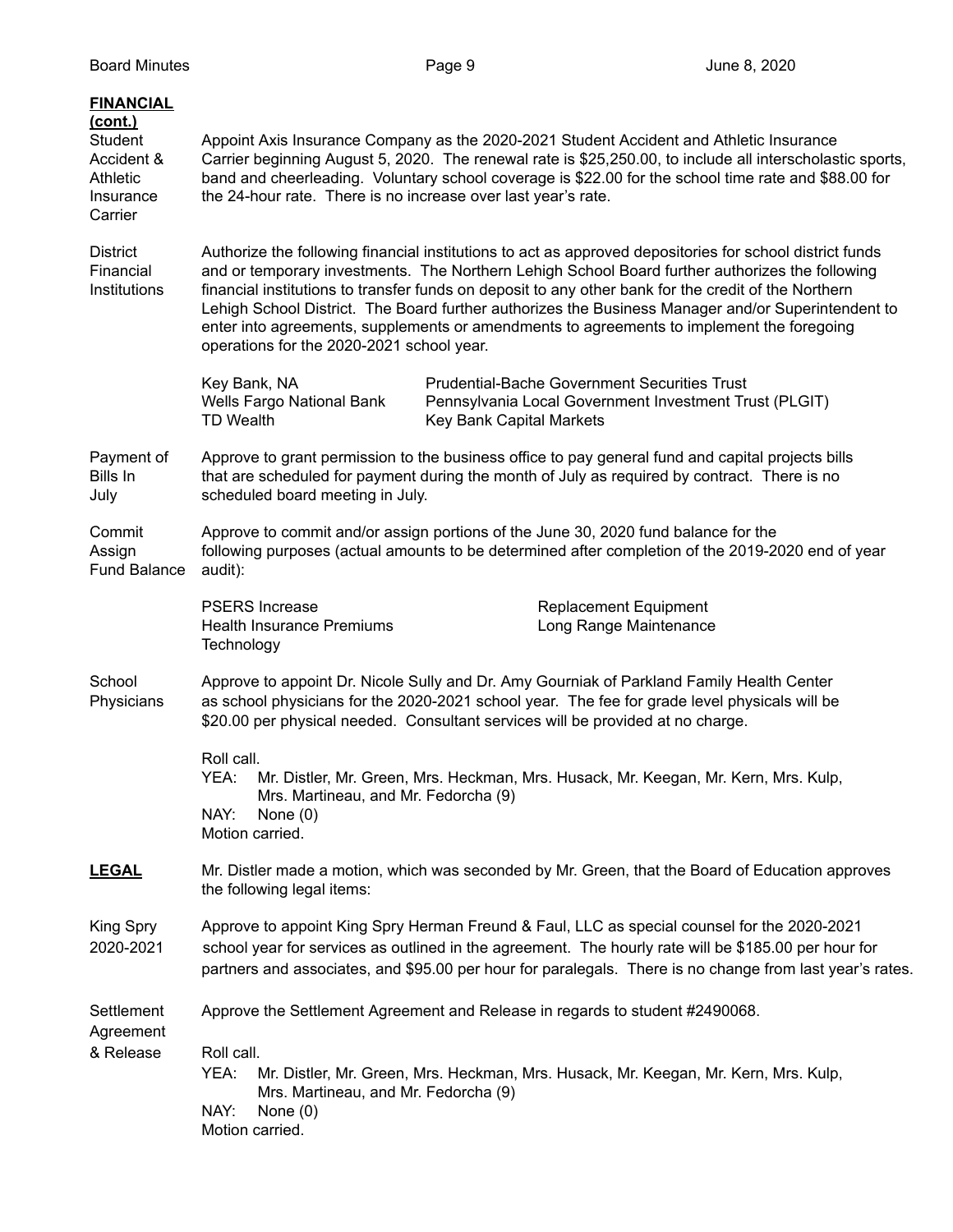| <b>FINANCIAL</b><br>(cont.)<br>Student<br>Accident &<br><b>Athletic</b><br>Insurance<br>Carrier | Appoint Axis Insurance Company as the 2020-2021 Student Accident and Athletic Insurance<br>Carrier beginning August 5, 2020. The renewal rate is \$25,250.00, to include all interscholastic sports,<br>band and cheerleading. Voluntary school coverage is \$22.00 for the school time rate and \$88.00 for<br>the 24-hour rate. There is no increase over last year's rate.                                                                                                                                                                                       |  |  |
|-------------------------------------------------------------------------------------------------|---------------------------------------------------------------------------------------------------------------------------------------------------------------------------------------------------------------------------------------------------------------------------------------------------------------------------------------------------------------------------------------------------------------------------------------------------------------------------------------------------------------------------------------------------------------------|--|--|
| <b>District</b><br>Financial<br>Institutions                                                    | Authorize the following financial institutions to act as approved depositories for school district funds<br>and or temporary investments. The Northern Lehigh School Board further authorizes the following<br>financial institutions to transfer funds on deposit to any other bank for the credit of the Northern<br>Lehigh School District. The Board further authorizes the Business Manager and/or Superintendent to<br>enter into agreements, supplements or amendments to agreements to implement the foregoing<br>operations for the 2020-2021 school year. |  |  |
|                                                                                                 | Key Bank, NA<br><b>Prudential-Bache Government Securities Trust</b><br>Wells Fargo National Bank<br>Pennsylvania Local Government Investment Trust (PLGIT)<br><b>TD Wealth</b><br>Key Bank Capital Markets                                                                                                                                                                                                                                                                                                                                                          |  |  |
| Payment of<br>Bills In<br>July                                                                  | Approve to grant permission to the business office to pay general fund and capital projects bills<br>that are scheduled for payment during the month of July as required by contract. There is no<br>scheduled board meeting in July.                                                                                                                                                                                                                                                                                                                               |  |  |
| Commit<br>Assign<br><b>Fund Balance</b>                                                         | Approve to commit and/or assign portions of the June 30, 2020 fund balance for the<br>following purposes (actual amounts to be determined after completion of the 2019-2020 end of year<br>audit):                                                                                                                                                                                                                                                                                                                                                                  |  |  |
|                                                                                                 | <b>PSERS Increase</b><br><b>Replacement Equipment</b><br><b>Health Insurance Premiums</b><br>Long Range Maintenance<br>Technology                                                                                                                                                                                                                                                                                                                                                                                                                                   |  |  |
| School<br>Physicians                                                                            | Approve to appoint Dr. Nicole Sully and Dr. Amy Gourniak of Parkland Family Health Center<br>as school physicians for the 2020-2021 school year. The fee for grade level physicals will be<br>\$20.00 per physical needed. Consultant services will be provided at no charge.                                                                                                                                                                                                                                                                                       |  |  |
|                                                                                                 | Roll call.<br>Mr. Distler, Mr. Green, Mrs. Heckman, Mrs. Husack, Mr. Keegan, Mr. Kern, Mrs. Kulp,<br>YEA:<br>Mrs. Martineau, and Mr. Fedorcha (9)<br>NAY:<br>None $(0)$<br>Motion carried.                                                                                                                                                                                                                                                                                                                                                                          |  |  |
| <b>LEGAL</b>                                                                                    | Mr. Distler made a motion, which was seconded by Mr. Green, that the Board of Education approves<br>the following legal items:                                                                                                                                                                                                                                                                                                                                                                                                                                      |  |  |
| King Spry<br>2020-2021                                                                          | Approve to appoint King Spry Herman Freund & Faul, LLC as special counsel for the 2020-2021<br>school year for services as outlined in the agreement. The hourly rate will be \$185.00 per hour for<br>partners and associates, and \$95.00 per hour for paralegals. There is no change from last year's rates.                                                                                                                                                                                                                                                     |  |  |
| Settlement<br>Agreement                                                                         | Approve the Settlement Agreement and Release in regards to student #2490068.                                                                                                                                                                                                                                                                                                                                                                                                                                                                                        |  |  |
| & Release                                                                                       | Roll call.<br>YEA:<br>Mr. Distler, Mr. Green, Mrs. Heckman, Mrs. Husack, Mr. Keegan, Mr. Kern, Mrs. Kulp,<br>Mrs. Martineau, and Mr. Fedorcha (9)<br>NAY:<br>None $(0)$<br>Motion carried.                                                                                                                                                                                                                                                                                                                                                                          |  |  |